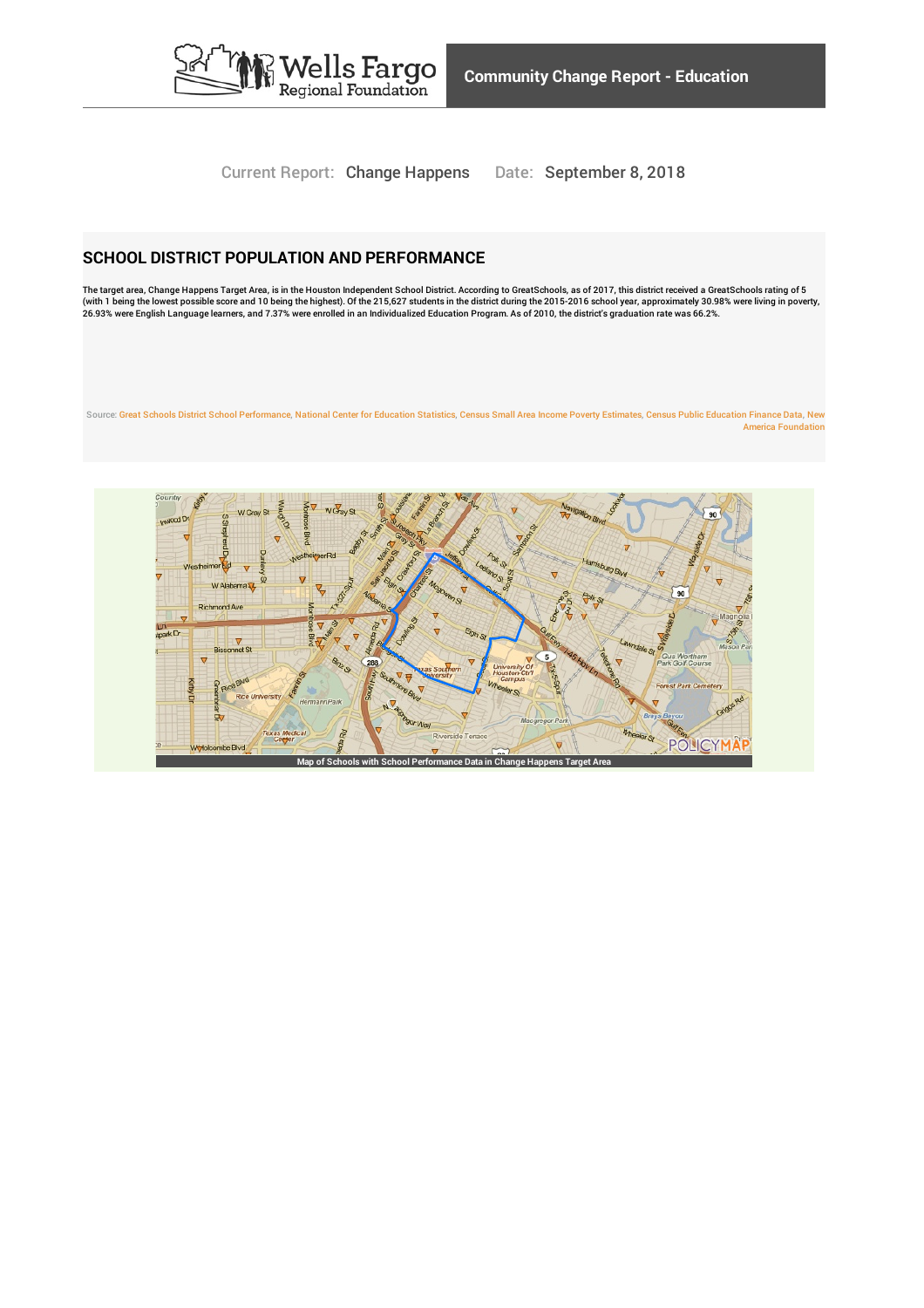

Current Report: Change Happens Date: September 8, 2018

### **SCHOOL DISTRICT POPULATION AND PERFORMANCE**

The target area, Change Happens Target Area, is in the Houston Independent School District. According to GreatSchools, as of 2017, this district received a GreatSchools rating of 5<br>(with 1 being the lowest possible score a

Source: Great Schools District School [Performance](http://www.policymap.com/our-data-directory.html#GreatSchools School District Performance), National Center for [Education](http://www.policymap.com/our-data-directory.html#National Center for Education Statistics) Statistics, Census Small Area Income Poverty [Estimates](http://www.policymap.com/our-data-directory.html#Census Small Area Income and Poverty Estimates), Census Public [Education](http://www.policymap.com/our-data-directory.html#Census Public Elementary-Secondary Education Finance Data) Finance Data, New America [Foundation](http://www.policymap.com/our-data-directory.html#New America Foundation)

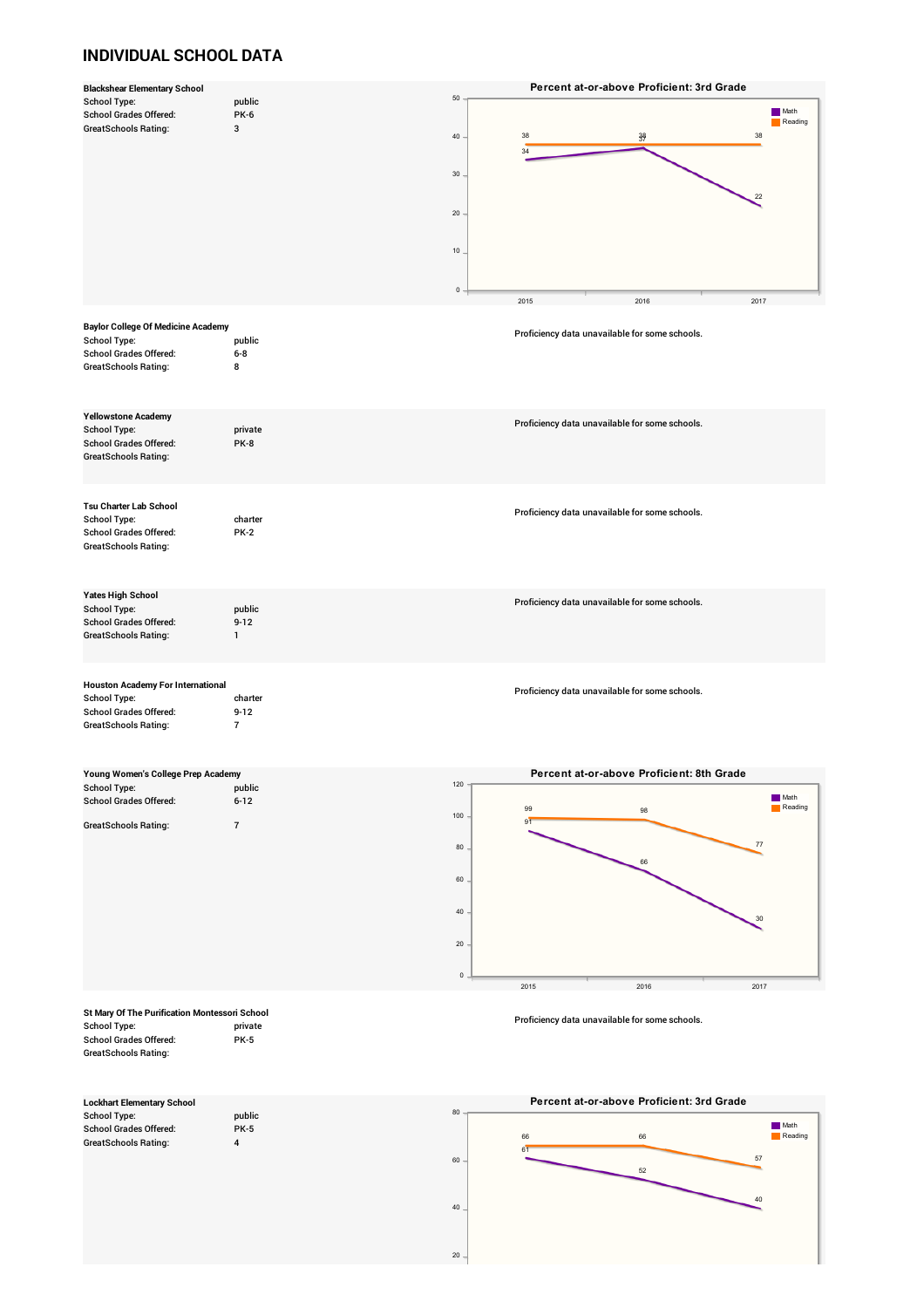## **INDIVIDUAL SCHOOL DATA**

|                                               |                         |                 | Percent at-or-above Proficient: 3rd Grade      |         |
|-----------------------------------------------|-------------------------|-----------------|------------------------------------------------|---------|
| <b>School Type:</b>                           | public                  | 50              |                                                |         |
| <b>School Grades Offered:</b>                 | <b>PK-6</b>             |                 |                                                | Math    |
| <b>GreatSchools Rating:</b>                   | 3                       |                 |                                                | Reading |
|                                               |                         | 40              | 38<br>38<br>$\frac{38}{37}$                    |         |
|                                               |                         |                 | 34                                             |         |
|                                               |                         |                 |                                                |         |
|                                               |                         | $30\,$          |                                                |         |
|                                               |                         |                 |                                                |         |
|                                               |                         |                 | $^{22}$                                        |         |
|                                               |                         |                 |                                                |         |
|                                               |                         | 20 <sub>2</sub> |                                                |         |
|                                               |                         |                 |                                                |         |
|                                               |                         |                 |                                                |         |
|                                               |                         | 10              |                                                |         |
|                                               |                         |                 |                                                |         |
|                                               |                         |                 |                                                |         |
|                                               |                         |                 |                                                |         |
|                                               |                         | $\mathsf 0$     |                                                |         |
|                                               |                         |                 | 2015<br>2016<br>2017                           |         |
|                                               |                         |                 |                                                |         |
| <b>Baylor College Of Medicine Academy</b>     |                         |                 |                                                |         |
| <b>School Type:</b>                           | public                  |                 | Proficiency data unavailable for some schools. |         |
|                                               |                         |                 |                                                |         |
| <b>School Grades Offered:</b>                 | $6-8$                   |                 |                                                |         |
| GreatSchools Rating:                          | 8                       |                 |                                                |         |
|                                               |                         |                 |                                                |         |
|                                               |                         |                 |                                                |         |
|                                               |                         |                 |                                                |         |
| <b>Yellowstone Academy</b>                    |                         |                 |                                                |         |
| <b>School Type:</b>                           | private                 |                 | Proficiency data unavailable for some schools. |         |
|                                               |                         |                 |                                                |         |
| <b>School Grades Offered:</b>                 | PK-8                    |                 |                                                |         |
| <b>GreatSchools Rating:</b>                   |                         |                 |                                                |         |
|                                               |                         |                 |                                                |         |
|                                               |                         |                 |                                                |         |
|                                               |                         |                 |                                                |         |
|                                               |                         |                 |                                                |         |
| Tsu Charter Lab School                        |                         |                 | Proficiency data unavailable for some schools. |         |
| <b>School Type:</b>                           | charter                 |                 |                                                |         |
| <b>School Grades Offered:</b>                 | <b>PK-2</b>             |                 |                                                |         |
| GreatSchools Rating:                          |                         |                 |                                                |         |
|                                               |                         |                 |                                                |         |
|                                               |                         |                 |                                                |         |
|                                               |                         |                 |                                                |         |
|                                               |                         |                 |                                                |         |
| <b>Yates High School</b>                      |                         |                 |                                                |         |
| <b>School Type:</b>                           | public                  |                 | Proficiency data unavailable for some schools. |         |
| <b>School Grades Offered:</b>                 | $9 - 12$                |                 |                                                |         |
|                                               |                         |                 |                                                |         |
| <b>GreatSchools Rating:</b>                   | $\mathbf{1}$            |                 |                                                |         |
|                                               |                         |                 |                                                |         |
|                                               |                         |                 |                                                |         |
|                                               |                         |                 |                                                |         |
| <b>Houston Academy For International</b>      |                         |                 |                                                |         |
|                                               | charter                 |                 | Proficiency data unavailable for some schools. |         |
| <b>School Type:</b>                           |                         |                 |                                                |         |
| <b>School Grades Offered:</b>                 | $9 - 12$                |                 |                                                |         |
| <b>GreatSchools Rating:</b>                   | $\overline{7}$          |                 |                                                |         |
|                                               |                         |                 |                                                |         |
|                                               |                         |                 |                                                |         |
|                                               |                         |                 |                                                |         |
| Young Women's College Prep Academy            |                         |                 | Percent at-or-above Proficient: 8th Grade      |         |
|                                               |                         | 120             |                                                |         |
| <b>School Type:</b>                           | public                  |                 |                                                |         |
| <b>School Grades Offered:</b>                 |                         |                 |                                                |         |
|                                               | $6 - 12$                |                 |                                                | Math    |
|                                               |                         |                 | 99<br>98                                       | Reading |
|                                               |                         | 100             | 91                                             |         |
| <b>GreatSchools Rating:</b>                   | $\overline{7}$          |                 |                                                |         |
|                                               |                         |                 | 77                                             |         |
|                                               |                         | 80              |                                                |         |
|                                               |                         |                 | 66                                             |         |
|                                               |                         |                 |                                                |         |
|                                               |                         | 60              |                                                |         |
|                                               |                         |                 |                                                |         |
|                                               |                         | 40              |                                                |         |
|                                               |                         |                 | 30                                             |         |
|                                               |                         |                 |                                                |         |
|                                               |                         | $20 \cdot$      |                                                |         |
|                                               |                         |                 |                                                |         |
|                                               |                         |                 |                                                |         |
|                                               |                         | $\mathbf 0$     |                                                |         |
|                                               |                         |                 | 2015<br>2016<br>2017                           |         |
|                                               |                         |                 |                                                |         |
|                                               |                         |                 |                                                |         |
| St Mary Of The Purification Montessori School |                         |                 |                                                |         |
| <b>School Type:</b>                           | private                 |                 | Proficiency data unavailable for some schools. |         |
| <b>School Grades Offered:</b>                 | <b>PK-5</b>             |                 |                                                |         |
|                                               |                         |                 |                                                |         |
| <b>GreatSchools Rating:</b>                   |                         |                 |                                                |         |
|                                               |                         |                 |                                                |         |
|                                               |                         |                 |                                                |         |
|                                               |                         |                 |                                                |         |
| <b>Lockhart Elementary School</b>             |                         |                 | Percent at-or-above Proficient: 3rd Grade      |         |
| <b>School Type:</b>                           | public                  | 80              |                                                |         |
|                                               |                         |                 |                                                | Math    |
| <b>School Grades Offered:</b>                 | <b>PK-5</b>             |                 | 66<br>66                                       | Reading |
| <b>GreatSchools Rating:</b>                   | $\overline{\mathbf{4}}$ |                 | 61                                             |         |
|                                               |                         | 60              | 57                                             |         |
|                                               |                         |                 | 52                                             |         |
|                                               |                         |                 |                                                |         |
|                                               |                         |                 |                                                |         |
|                                               |                         |                 | 40                                             |         |
|                                               |                         | 40 <sub>1</sub> |                                                |         |
|                                               |                         |                 |                                                |         |
|                                               |                         |                 |                                                |         |
|                                               |                         | $20\,$          |                                                |         |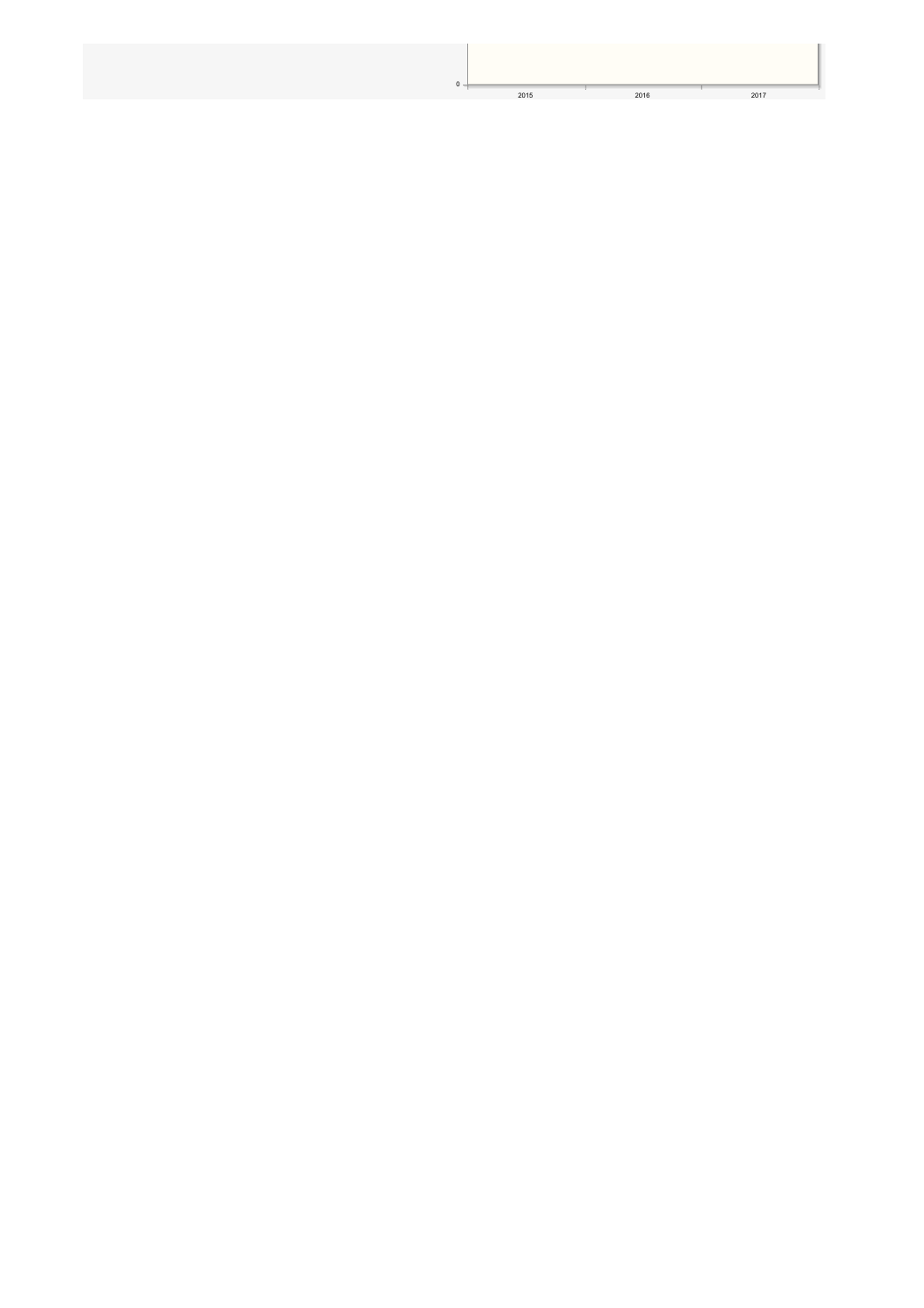| 0 |      |      |      |
|---|------|------|------|
|   | 2015 | 2016 | 2017 |
|   |      |      |      |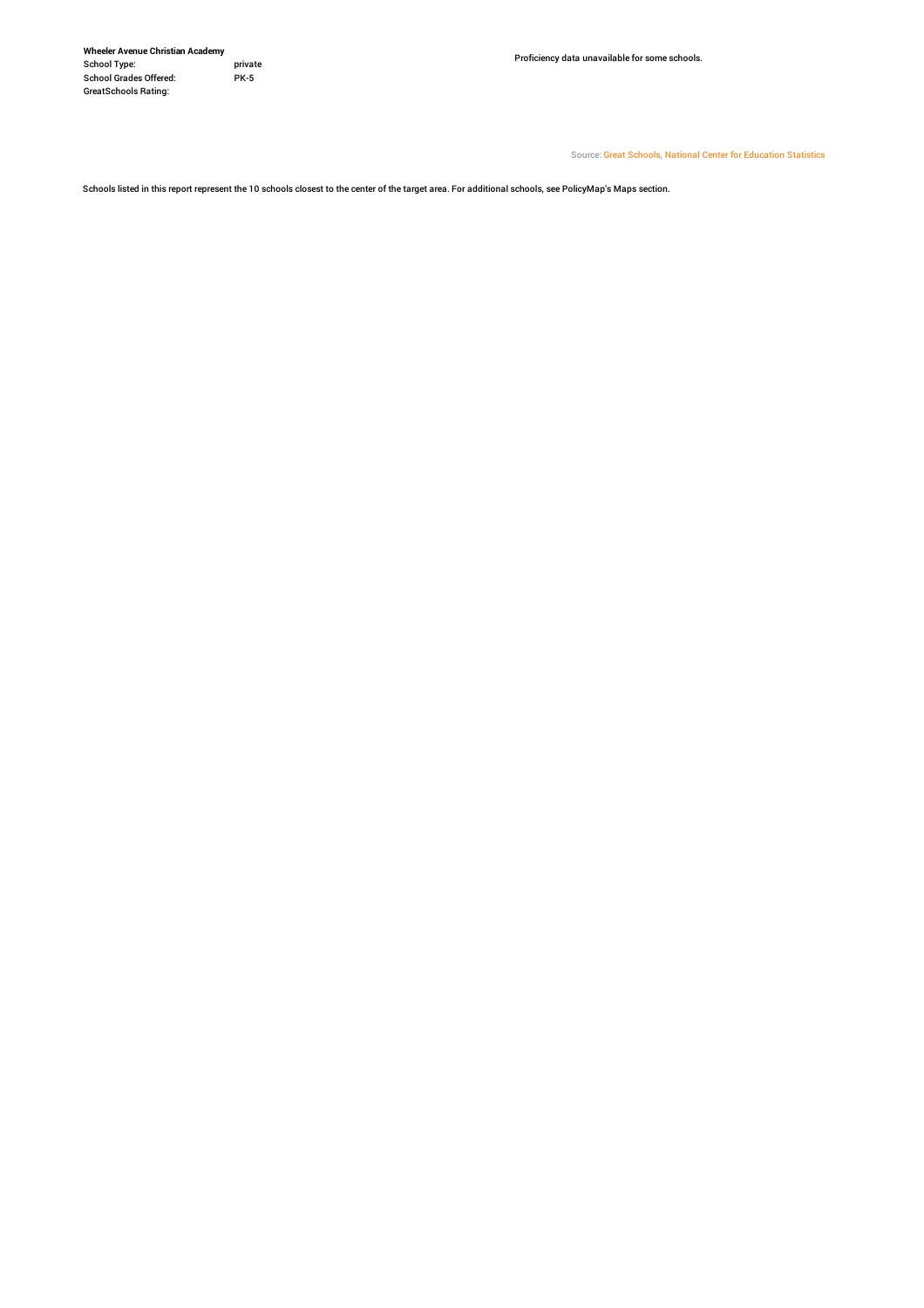**Wheeler Avenue Christian Academy** School Type: privat<br>School Grades Offered: PK-5 School Grades Offered: PK-5 GreatSchools Rating:

Source: Great [Schools](http://www.policymap.com/our-data-directory.html#GreatSchools School Points), National Center for [Education](http://www.policymap.com/our-data-directory.html#National Center for Education Statistics, Private School Universe Survey) Statistics

Schools listed in this report represent the 10 schools closest to the center of the target area. For additional schools, see PolicyMap's Maps section.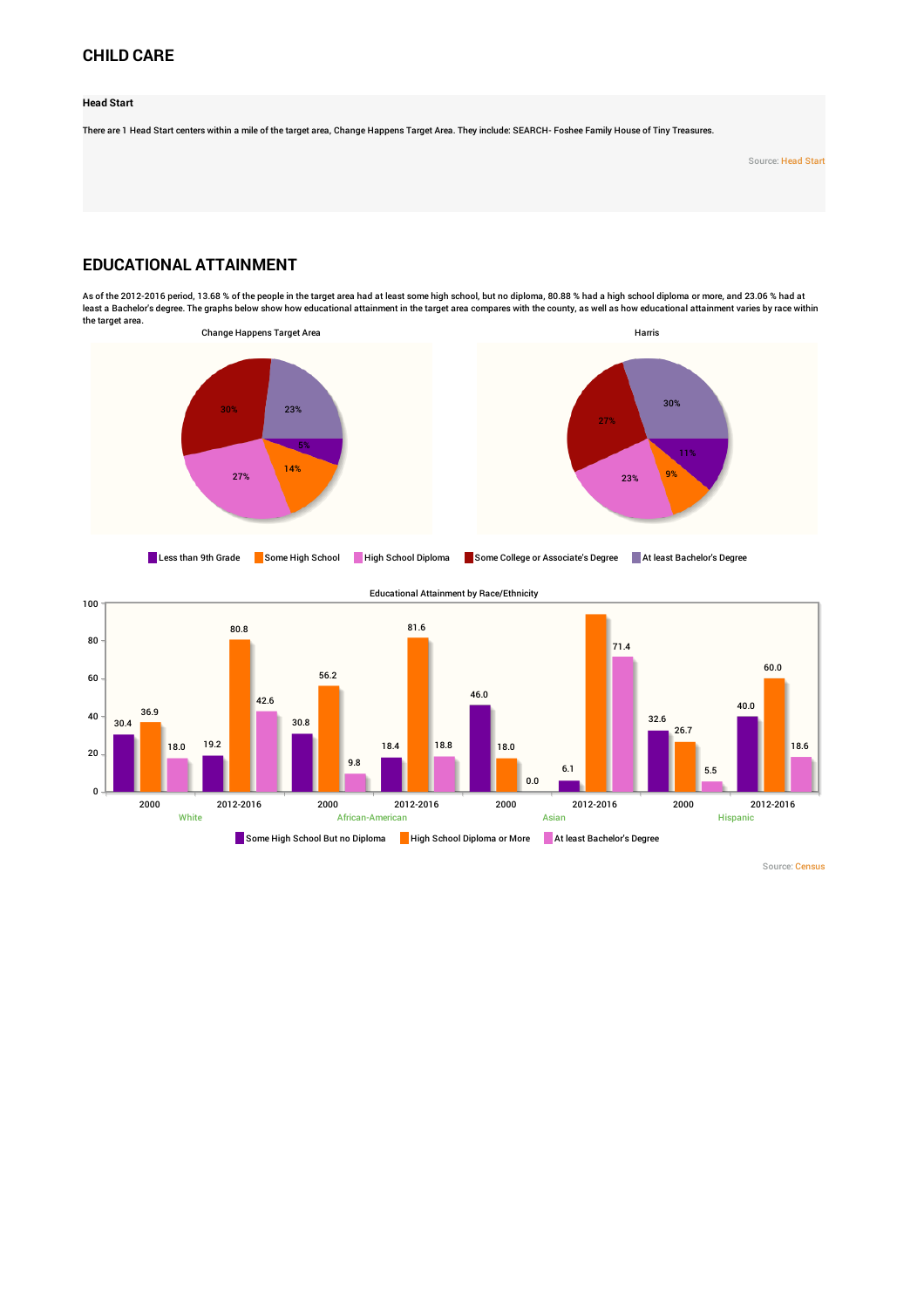## **CHILD CARE**

**Head Start**

There are 1 Head Start centers within a mile of the target area, Change Happens Target Area. They include: SEARCH- Foshee Family House of Tiny Treasures.

Source: [Head](http://www.policymap.com/our-data-directory.html#Head Start) Start

# **EDUCATIONAL ATTAINMENT**

As of the 2012-2016 period, 13.68 % of the people in the target area had at least some high school, but no diploma, 80.88 % had a high school diploma or more, and 23.06 % had at least a Bachelor's degree. The graphs below show how educational attainment in the target area compares with the county, as well as how educational attainment varies by race within the target area.







White African-American And African-American Asian Asian Asian Asian Hispanic Hispanic

Some High School But no Diploma High School Diploma or More At least Bachelor's Degree

Source: [Census](http://www.policymap.com/our-data-directory.html#Census: Decennial Census and American Community Survey %28ACS%29)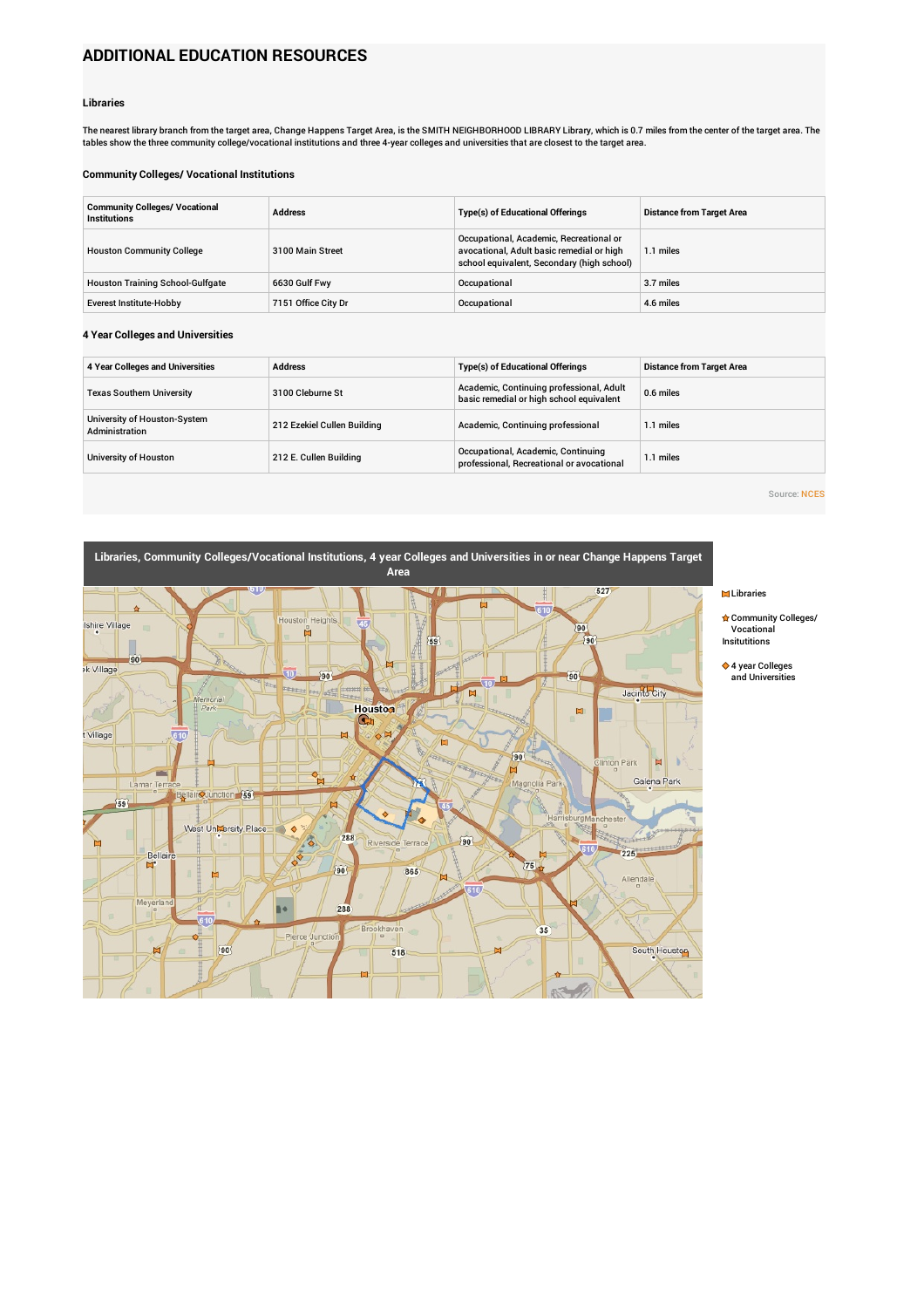# **ADDITIONAL EDUCATION RESOURCES**

#### **Libraries**

The nearest library branch from the target area, Change Happens Target Area, is the SMITH NEIGHBORHOOD LIBRARY Library, which is 0.7 miles from the center of the target area. The<br>tables show the three community college/voc

#### **Community Colleges/ Vocational Institutions**

| <b>Community Colleges/ Vocational</b><br><b>Institutions</b> | <b>Address</b>      | <b>Type(s) of Educational Offerings</b>                                                                                            | <b>Distance from Target Area</b> |
|--------------------------------------------------------------|---------------------|------------------------------------------------------------------------------------------------------------------------------------|----------------------------------|
| <b>Houston Community College</b>                             | 3100 Main Street    | Occupational, Academic, Recreational or<br>avocational, Adult basic remedial or high<br>school equivalent, Secondary (high school) | 1.1 miles                        |
| <b>Houston Training School-Gulfgate</b>                      | 6630 Gulf Fwy       | Occupational                                                                                                                       | 3.7 miles                        |
| <b>Everest Institute-Hobby</b>                               | 7151 Office City Dr | Occupational                                                                                                                       | 4.6 miles                        |

#### **4 Year Colleges and Universities**

| 4 Year Colleges and Universities               | <b>Address</b>              | <b>Type(s) of Educational Offerings</b>                                              | <b>Distance from Target Area</b> |
|------------------------------------------------|-----------------------------|--------------------------------------------------------------------------------------|----------------------------------|
| <b>Texas Southern University</b>               | 3100 Cleburne St            | Academic, Continuing professional, Adult<br>basic remedial or high school equivalent | 0.6 miles                        |
| University of Houston-System<br>Administration | 212 Ezekiel Cullen Building | Academic, Continuing professional                                                    | 1.1 miles                        |
| University of Houston                          | 212 E. Cullen Building      | Occupational, Academic, Continuing<br>professional, Recreational or avocational      | 1.1 miles                        |

Source: [NCES](http://www.policymap.com/our-data-directory.html#National Center for Education Statistics, Integrated Postsecondary Education Data System)